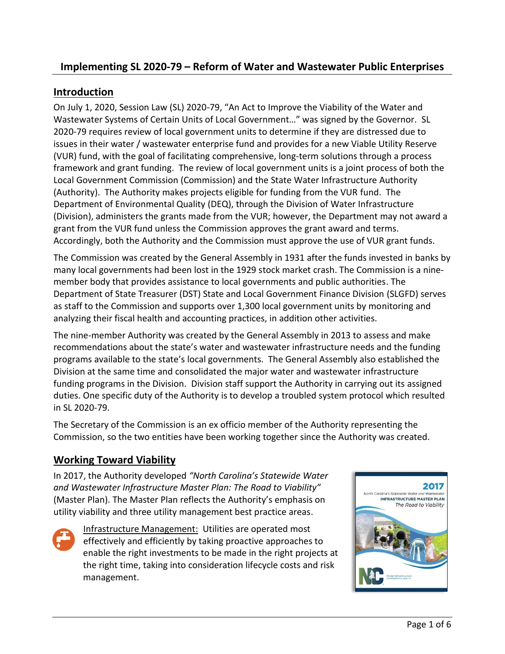# **Implementing SL 2020-79 – Reform of Water and Wastewater Public Enterprises**

## **Introduction**

On July 1, 2020, Session Law (SL) 2020-79, "An Act to Improve the Viability of the Water and Wastewater Systems of Certain Units of Local Government…" was signed by the Governor. SL 2020-79 requires review of local government units to determine if they are distressed due to issues in their water / wastewater enterprise fund and provides for a new Viable Utility Reserve (VUR) fund, with the goal of facilitating comprehensive, long-term solutions through a process framework and grant funding. The review of local government units is a joint process of both the Local Government Commission (Commission) and the State Water Infrastructure Authority (Authority). The Authority makes projects eligible for funding from the VUR fund. The Department of Environmental Quality (DEQ), through the Division of Water Infrastructure (Division), administers the grants made from the VUR; however, the Department may not award a grant from the VUR fund unless the Commission approves the grant award and terms. Accordingly, both the Authority and the Commission must approve the use of VUR grant funds.

The Commission was created by the General Assembly in 1931 after the funds invested in banks by many local governments had been lost in the 1929 stock market crash. The Commission is a ninemember body that provides assistance to local governments and public authorities. The Department of State Treasurer (DST) State and Local Government Finance Division (SLGFD) serves as staff to the Commission and supports over 1,300 local government units by monitoring and analyzing their fiscal health and accounting practices, in addition other activities.

The nine-member Authority was created by the General Assembly in 2013 to assess and make recommendations about the state's water and wastewater infrastructure needs and the funding programs available to the state's local governments. The General Assembly also established the Division at the same time and consolidated the major water and wastewater infrastructure funding programs in the Division. Division staff support the Authority in carrying out its assigned duties. One specific duty of the Authority is to develop a troubled system protocol which resulted in SL 2020-79.

The Secretary of the Commission is an ex officio member of the Authority representing the Commission, so the two entities have been working together since the Authority was created.

## **Working Toward Viability**

In 2017, the Authority developed *"North Carolina's Statewide Water and Wastewater Infrastructure Master Plan: The Road to Viability"* (Master Plan). The Master Plan reflects the Authority's emphasis on utility viability and three utility management best practice areas.



Infrastructure Management: Utilities are operated most effectively and efficiently by taking proactive approaches to enable the right investments to be made in the right projects at the right time, taking into consideration lifecycle costs and risk management.

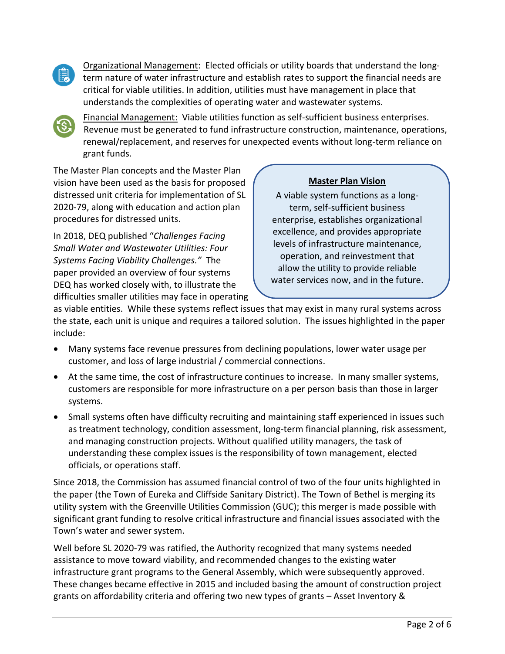

Organizational Management: Elected officials or utility boards that understand the longterm nature of water infrastructure and establish rates to support the financial needs are critical for viable utilities. In addition, utilities must have management in place that understands the complexities of operating water and wastewater systems.



Financial Management: Viable utilities function as self-sufficient business enterprises. Revenue must be generated to fund infrastructure construction, maintenance, operations, renewal/replacement, and reserves for unexpected events without long-term reliance on grant funds.

The Master Plan concepts and the Master Plan vision have been used as the basis for proposed distressed unit criteria for implementation of SL 2020-79, along with education and action plan procedures for distressed units.

In 2018, DEQ published "*Challenges Facing Small Water and Wastewater Utilities: Four Systems Facing Viability Challenges."* The paper provided an overview of four systems DEQ has worked closely with, to illustrate the difficulties smaller utilities may face in operating

## **Master Plan Vision**

A viable system functions as a longterm, self-sufficient business enterprise, establishes organizational excellence, and provides appropriate levels of infrastructure maintenance, operation, and reinvestment that allow the utility to provide reliable water services now, and in the future.

as viable entities. While these systems reflect issues that may exist in many rural systems across the state, each unit is unique and requires a tailored solution. The issues highlighted in the paper include:

- Many systems face revenue pressures from declining populations, lower water usage per customer, and loss of large industrial / commercial connections.
- At the same time, the cost of infrastructure continues to increase. In many smaller systems, customers are responsible for more infrastructure on a per person basis than those in larger systems.
- Small systems often have difficulty recruiting and maintaining staff experienced in issues such as treatment technology, condition assessment, long-term financial planning, risk assessment, and managing construction projects. Without qualified utility managers, the task of understanding these complex issues is the responsibility of town management, elected officials, or operations staff.

Since 2018, the Commission has assumed financial control of two of the four units highlighted in the paper (the Town of Eureka and Cliffside Sanitary District). The Town of Bethel is merging its utility system with the Greenville Utilities Commission (GUC); this merger is made possible with significant grant funding to resolve critical infrastructure and financial issues associated with the Town's water and sewer system.

Well before SL 2020-79 was ratified, the Authority recognized that many systems needed assistance to move toward viability, and recommended changes to the existing water infrastructure grant programs to the General Assembly, which were subsequently approved. These changes became effective in 2015 and included basing the amount of construction project grants on affordability criteria and offering two new types of grants – Asset Inventory &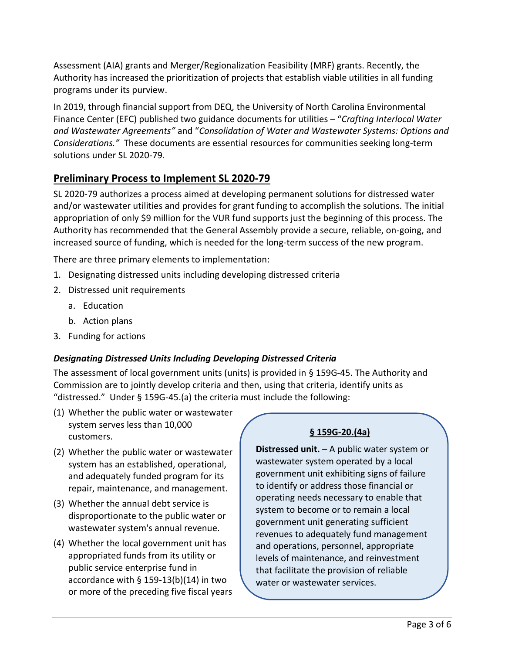Assessment (AIA) grants and Merger/Regionalization Feasibility (MRF) grants. Recently, the Authority has increased the prioritization of projects that establish viable utilities in all funding programs under its purview.

In 2019, through financial support from DEQ, the University of North Carolina Environmental Finance Center (EFC) published two guidance documents for utilities – "*Crafting Interlocal Water and Wastewater Agreements"* and "*Consolidation of Water and Wastewater Systems: Options and Considerations."* These documents are essential resources for communities seeking long-term solutions under SL 2020-79.

# **Preliminary Process to Implement SL 2020-79**

SL 2020-79 authorizes a process aimed at developing permanent solutions for distressed water and/or wastewater utilities and provides for grant funding to accomplish the solutions. The initial appropriation of only \$9 million for the VUR fund supports just the beginning of this process. The Authority has recommended that the General Assembly provide a secure, reliable, on-going, and increased source of funding, which is needed for the long-term success of the new program.

There are three primary elements to implementation:

- 1. Designating distressed units including developing distressed criteria
- 2. Distressed unit requirements
	- a. Education
	- b. Action plans
- 3. Funding for actions

## *Designating Distressed Units Including Developing Distressed Criteria*

The assessment of local government units (units) is provided in § 159G-45. The Authority and Commission are to jointly develop criteria and then, using that criteria, identify units as "distressed." Under § 159G-45.(a) the criteria must include the following:

- (1) Whether the public water or wastewater system serves less than 10,000 customers.
- (2) Whether the public water or wastewater system has an established, operational, and adequately funded program for its repair, maintenance, and management.
- (3) Whether the annual debt service is disproportionate to the public water or wastewater system's annual revenue.
- (4) Whether the local government unit has appropriated funds from its utility or public service enterprise fund in accordance with § 159-13(b)(14) in two or more of the preceding five fiscal years

## **§ 159G-20.(4a)**

**Distressed unit.** – A public water system or wastewater system operated by a local government unit exhibiting signs of failure to identify or address those financial or operating needs necessary to enable that system to become or to remain a local government unit generating sufficient revenues to adequately fund management and operations, personnel, appropriate levels of maintenance, and reinvestment that facilitate the provision of reliable water or wastewater services.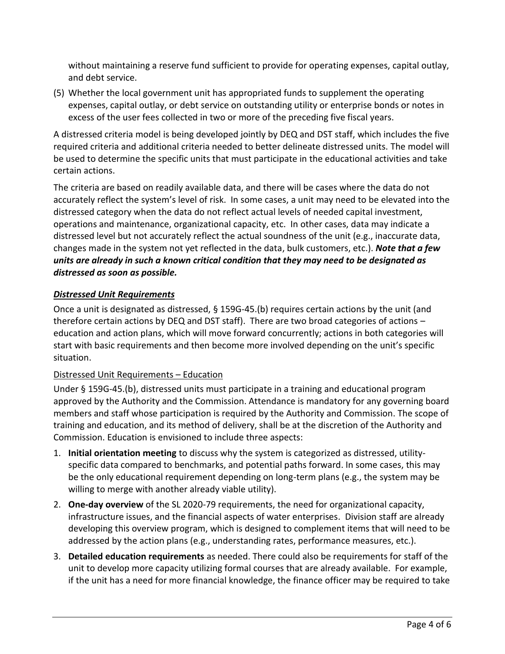without maintaining a reserve fund sufficient to provide for operating expenses, capital outlay, and debt service.

(5) Whether the local government unit has appropriated funds to supplement the operating expenses, capital outlay, or debt service on outstanding utility or enterprise bonds or notes in excess of the user fees collected in two or more of the preceding five fiscal years.

A distressed criteria model is being developed jointly by DEQ and DST staff, which includes the five required criteria and additional criteria needed to better delineate distressed units. The model will be used to determine the specific units that must participate in the educational activities and take certain actions.

The criteria are based on readily available data, and there will be cases where the data do not accurately reflect the system's level of risk. In some cases, a unit may need to be elevated into the distressed category when the data do not reflect actual levels of needed capital investment, operations and maintenance, organizational capacity, etc. In other cases, data may indicate a distressed level but not accurately reflect the actual soundness of the unit (e.g., inaccurate data, changes made in the system not yet reflected in the data, bulk customers, etc.). *Note that a few units are already in such a known critical condition that they may need to be designated as distressed as soon as possible.*

#### *Distressed Unit Requirements*

Once a unit is designated as distressed, § 159G-45.(b) requires certain actions by the unit (and therefore certain actions by DEQ and DST staff). There are two broad categories of actions – education and action plans, which will move forward concurrently; actions in both categories will start with basic requirements and then become more involved depending on the unit's specific situation.

#### Distressed Unit Requirements – Education

Under § 159G-45.(b), distressed units must participate in a training and educational program approved by the Authority and the Commission. Attendance is mandatory for any governing board members and staff whose participation is required by the Authority and Commission. The scope of training and education, and its method of delivery, shall be at the discretion of the Authority and Commission. Education is envisioned to include three aspects:

- 1. **Initial orientation meeting** to discuss why the system is categorized as distressed, utilityspecific data compared to benchmarks, and potential paths forward. In some cases, this may be the only educational requirement depending on long-term plans (e.g., the system may be willing to merge with another already viable utility).
- 2. **One-day overview** of the SL 2020-79 requirements, the need for organizational capacity, infrastructure issues, and the financial aspects of water enterprises. Division staff are already developing this overview program, which is designed to complement items that will need to be addressed by the action plans (e.g., understanding rates, performance measures, etc.).
- 3. **Detailed education requirements** as needed. There could also be requirements for staff of the unit to develop more capacity utilizing formal courses that are already available. For example, if the unit has a need for more financial knowledge, the finance officer may be required to take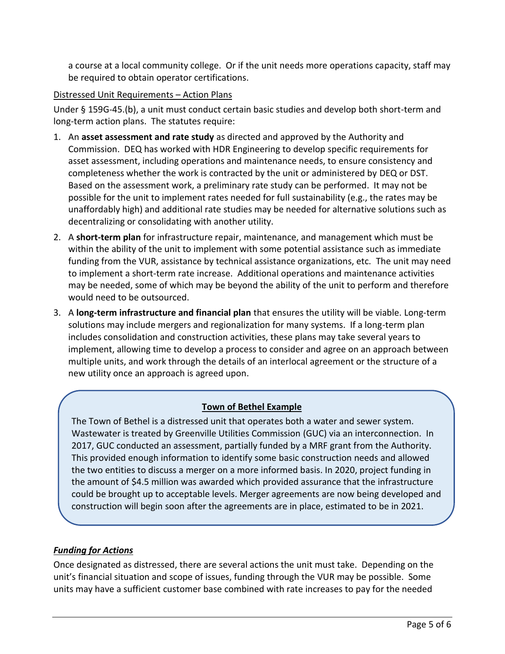a course at a local community college. Or if the unit needs more operations capacity, staff may be required to obtain operator certifications.

#### Distressed Unit Requirements – Action Plans

Under § 159G-45.(b), a unit must conduct certain basic studies and develop both short-term and long-term action plans. The statutes require:

- 1. An **asset assessment and rate study** as directed and approved by the Authority and Commission. DEQ has worked with HDR Engineering to develop specific requirements for asset assessment, including operations and maintenance needs, to ensure consistency and completeness whether the work is contracted by the unit or administered by DEQ or DST. Based on the assessment work, a preliminary rate study can be performed. It may not be possible for the unit to implement rates needed for full sustainability (e.g., the rates may be unaffordably high) and additional rate studies may be needed for alternative solutions such as decentralizing or consolidating with another utility.
- 2. A **short-term plan** for infrastructure repair, maintenance, and management which must be within the ability of the unit to implement with some potential assistance such as immediate funding from the VUR, assistance by technical assistance organizations, etc. The unit may need to implement a short-term rate increase. Additional operations and maintenance activities may be needed, some of which may be beyond the ability of the unit to perform and therefore would need to be outsourced.
- 3. A **long-term infrastructure and financial plan** that ensures the utility will be viable. Long-term solutions may include mergers and regionalization for many systems. If a long-term plan includes consolidation and construction activities, these plans may take several years to implement, allowing time to develop a process to consider and agree on an approach between multiple units, and work through the details of an interlocal agreement or the structure of a new utility once an approach is agreed upon.

## **Town of Bethel Example**

The Town of Bethel is a distressed unit that operates both a water and sewer system. Wastewater is treated by Greenville Utilities Commission (GUC) via an interconnection. In 2017, GUC conducted an assessment, partially funded by a MRF grant from the Authority. This provided enough information to identify some basic construction needs and allowed the two entities to discuss a merger on a more informed basis. In 2020, project funding in the amount of \$4.5 million was awarded which provided assurance that the infrastructure could be brought up to acceptable levels. Merger agreements are now being developed and construction will begin soon after the agreements are in place, estimated to be in 2021.

#### *Funding for Actions*

Once designated as distressed, there are several actions the unit must take. Depending on the unit's financial situation and scope of issues, funding through the VUR may be possible. Some units may have a sufficient customer base combined with rate increases to pay for the needed